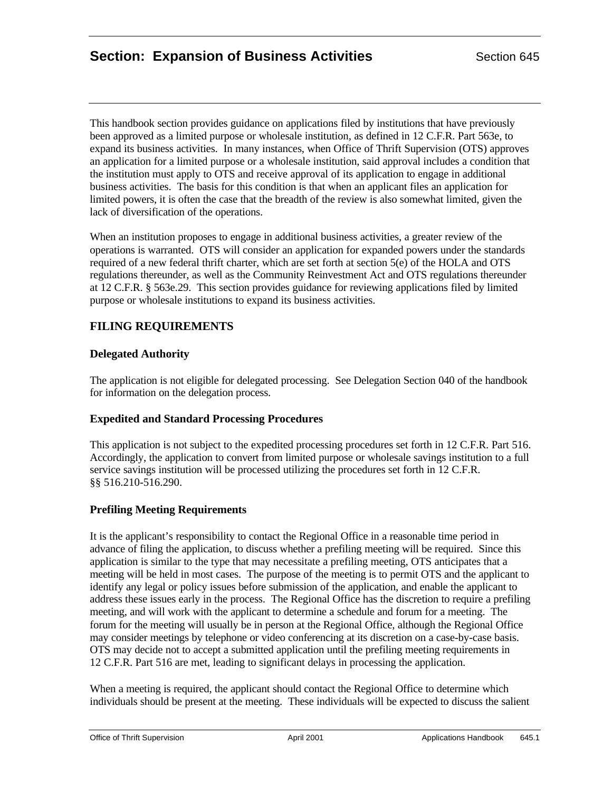This handbook section provides guidance on applications filed by institutions that have previously been approved as a limited purpose or wholesale institution, as defined in 12 C.F.R. Part 563e, to expand its business activities. In many instances, when Office of Thrift Supervision (OTS) approves an application for a limited purpose or a wholesale institution, said approval includes a condition that the institution must apply to OTS and receive approval of its application to engage in additional business activities. The basis for this condition is that when an applicant files an application for limited powers, it is often the case that the breadth of the review is also somewhat limited, given the lack of diversification of the operations.

When an institution proposes to engage in additional business activities, a greater review of the operations is warranted. OTS will consider an application for expanded powers under the standards required of a new federal thrift charter, which are set forth at section 5(e) of the HOLA and OTS regulations thereunder, as well as the Community Reinvestment Act and OTS regulations thereunder at 12 C.F.R. § 563e.29. This section provides guidance for reviewing applications filed by limited purpose or wholesale institutions to expand its business activities.

# **FILING REQUIREMENTS**

## **Delegated Authority**

The application is not eligible for delegated processing. See Delegation Section 040 of the handbook for information on the delegation process.

## **Expedited and Standard Processing Procedures**

This application is not subject to the expedited processing procedures set forth in 12 C.F.R. Part 516. Accordingly, the application to convert from limited purpose or wholesale savings institution to a full service savings institution will be processed utilizing the procedures set forth in 12 C.F.R. §§ 516.210-516.290.

## **Prefiling Meeting Requirements**

It is the applicant's responsibility to contact the Regional Office in a reasonable time period in advance of filing the application, to discuss whether a prefiling meeting will be required. Since this application is similar to the type that may necessitate a prefiling meeting, OTS anticipates that a meeting will be held in most cases. The purpose of the meeting is to permit OTS and the applicant to identify any legal or policy issues before submission of the application, and enable the applicant to address these issues early in the process. The Regional Office has the discretion to require a prefiling meeting, and will work with the applicant to determine a schedule and forum for a meeting. The forum for the meeting will usually be in person at the Regional Office, although the Regional Office may consider meetings by telephone or video conferencing at its discretion on a case-by-case basis. OTS may decide not to accept a submitted application until the prefiling meeting requirements in 12 C.F.R. Part 516 are met, leading to significant delays in processing the application.

When a meeting is required, the applicant should contact the Regional Office to determine which individuals should be present at the meeting. These individuals will be expected to discuss the salient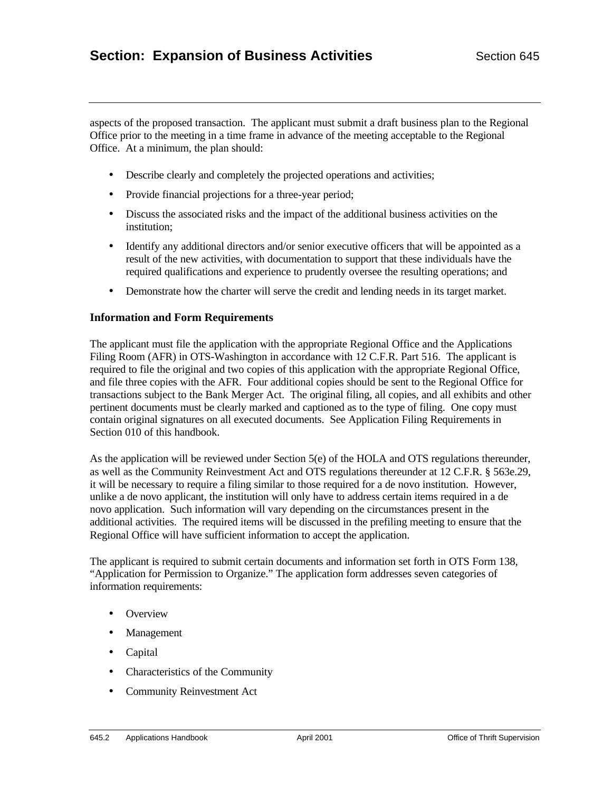aspects of the proposed transaction. The applicant must submit a draft business plan to the Regional Office prior to the meeting in a time frame in advance of the meeting acceptable to the Regional Office. At a minimum, the plan should:

- Describe clearly and completely the projected operations and activities;
- Provide financial projections for a three-year period;
- Discuss the associated risks and the impact of the additional business activities on the institution;
- Identify any additional directors and/or senior executive officers that will be appointed as a result of the new activities, with documentation to support that these individuals have the required qualifications and experience to prudently oversee the resulting operations; and
- Demonstrate how the charter will serve the credit and lending needs in its target market.

#### **Information and Form Requirements**

The applicant must file the application with the appropriate Regional Office and the Applications Filing Room (AFR) in OTS-Washington in accordance with 12 C.F.R. Part 516. The applicant is required to file the original and two copies of this application with the appropriate Regional Office, and file three copies with the AFR. Four additional copies should be sent to the Regional Office for transactions subject to the Bank Merger Act. The original filing, all copies, and all exhibits and other pertinent documents must be clearly marked and captioned as to the type of filing. One copy must contain original signatures on all executed documents. See Application Filing Requirements in Section 010 of this handbook.

As the application will be reviewed under Section 5(e) of the HOLA and OTS regulations thereunder, as well as the Community Reinvestment Act and OTS regulations thereunder at 12 C.F.R. § 563e.29, it will be necessary to require a filing similar to those required for a de novo institution. However, unlike a de novo applicant, the institution will only have to address certain items required in a de novo application. Such information will vary depending on the circumstances present in the additional activities. The required items will be discussed in the prefiling meeting to ensure that the Regional Office will have sufficient information to accept the application.

The applicant is required to submit certain documents and information set forth in OTS Form 138, "Application for Permission to Organize." The application form addresses seven categories of information requirements:

- Overview
- Management
- Capital
- Characteristics of the Community
- Community Reinvestment Act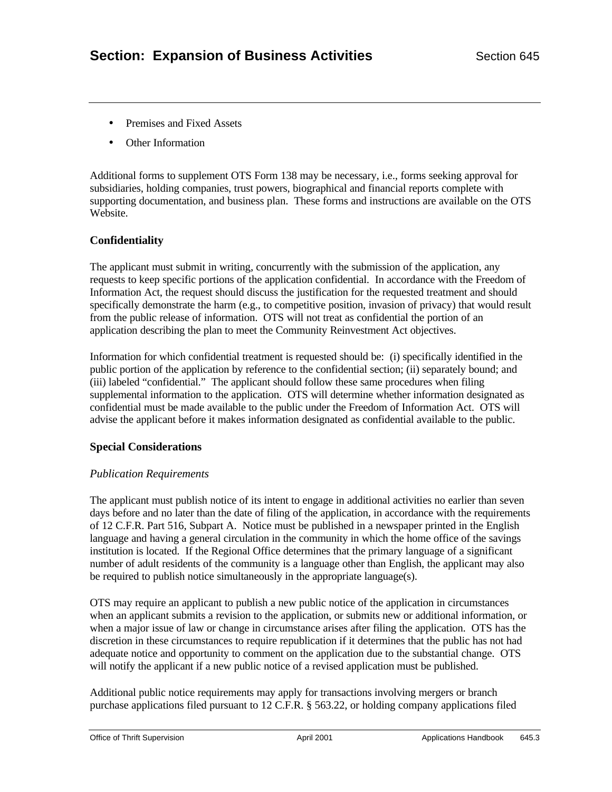- Premises and Fixed Assets
- Other Information

Additional forms to supplement OTS Form 138 may be necessary, i.e., forms seeking approval for subsidiaries, holding companies, trust powers, biographical and financial reports complete with supporting documentation, and business plan. These forms and instructions are available on the OTS Website.

## **Confidentiality**

The applicant must submit in writing, concurrently with the submission of the application, any requests to keep specific portions of the application confidential. In accordance with the Freedom of Information Act, the request should discuss the justification for the requested treatment and should specifically demonstrate the harm (e.g., to competitive position, invasion of privacy) that would result from the public release of information. OTS will not treat as confidential the portion of an application describing the plan to meet the Community Reinvestment Act objectives.

Information for which confidential treatment is requested should be: (i) specifically identified in the public portion of the application by reference to the confidential section; (ii) separately bound; and (iii) labeled "confidential." The applicant should follow these same procedures when filing supplemental information to the application. OTS will determine whether information designated as confidential must be made available to the public under the Freedom of Information Act. OTS will advise the applicant before it makes information designated as confidential available to the public.

#### **Special Considerations**

#### *Publication Requirements*

The applicant must publish notice of its intent to engage in additional activities no earlier than seven days before and no later than the date of filing of the application, in accordance with the requirements of 12 C.F.R. Part 516, Subpart A. Notice must be published in a newspaper printed in the English language and having a general circulation in the community in which the home office of the savings institution is located. If the Regional Office determines that the primary language of a significant number of adult residents of the community is a language other than English, the applicant may also be required to publish notice simultaneously in the appropriate language(s).

OTS may require an applicant to publish a new public notice of the application in circumstances when an applicant submits a revision to the application, or submits new or additional information, or when a major issue of law or change in circumstance arises after filing the application. OTS has the discretion in these circumstances to require republication if it determines that the public has not had adequate notice and opportunity to comment on the application due to the substantial change. OTS will notify the applicant if a new public notice of a revised application must be published.

Additional public notice requirements may apply for transactions involving mergers or branch purchase applications filed pursuant to 12 C.F.R. § 563.22, or holding company applications filed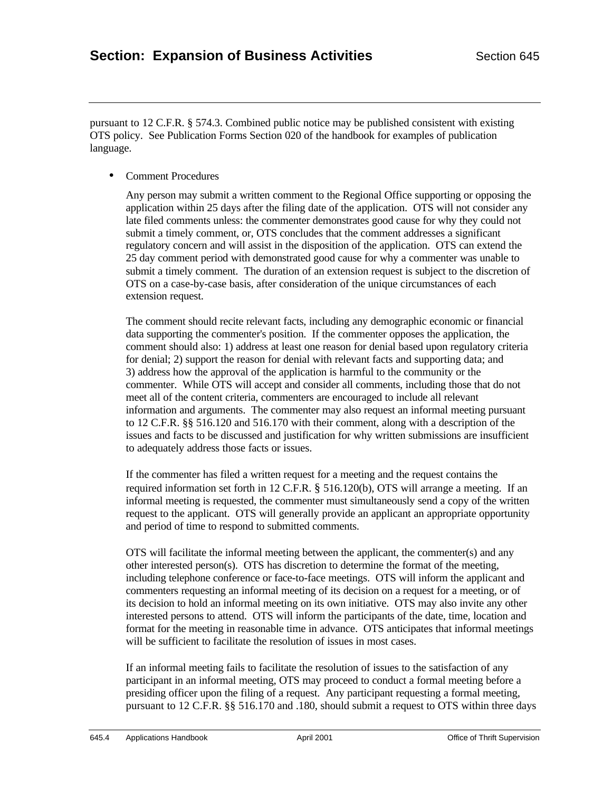pursuant to 12 C.F.R. § 574.3. Combined public notice may be published consistent with existing OTS policy. See Publication Forms Section 020 of the handbook for examples of publication language.

• Comment Procedures

Any person may submit a written comment to the Regional Office supporting or opposing the application within 25 days after the filing date of the application. OTS will not consider any late filed comments unless: the commenter demonstrates good cause for why they could not submit a timely comment, or, OTS concludes that the comment addresses a significant regulatory concern and will assist in the disposition of the application. OTS can extend the 25 day comment period with demonstrated good cause for why a commenter was unable to submit a timely comment. The duration of an extension request is subject to the discretion of OTS on a case-by-case basis, after consideration of the unique circumstances of each extension request.

The comment should recite relevant facts, including any demographic economic or financial data supporting the commenter's position. If the commenter opposes the application, the comment should also: 1) address at least one reason for denial based upon regulatory criteria for denial; 2) support the reason for denial with relevant facts and supporting data; and 3) address how the approval of the application is harmful to the community or the commenter. While OTS will accept and consider all comments, including those that do not meet all of the content criteria, commenters are encouraged to include all relevant information and arguments. The commenter may also request an informal meeting pursuant to 12 C.F.R. §§ 516.120 and 516.170 with their comment, along with a description of the issues and facts to be discussed and justification for why written submissions are insufficient to adequately address those facts or issues.

If the commenter has filed a written request for a meeting and the request contains the required information set forth in 12 C.F.R. § 516.120(b), OTS will arrange a meeting. If an informal meeting is requested, the commenter must simultaneously send a copy of the written request to the applicant. OTS will generally provide an applicant an appropriate opportunity and period of time to respond to submitted comments.

OTS will facilitate the informal meeting between the applicant, the commenter(s) and any other interested person(s). OTS has discretion to determine the format of the meeting, including telephone conference or face-to-face meetings. OTS will inform the applicant and commenters requesting an informal meeting of its decision on a request for a meeting, or of its decision to hold an informal meeting on its own initiative. OTS may also invite any other interested persons to attend. OTS will inform the participants of the date, time, location and format for the meeting in reasonable time in advance. OTS anticipates that informal meetings will be sufficient to facilitate the resolution of issues in most cases.

If an informal meeting fails to facilitate the resolution of issues to the satisfaction of any participant in an informal meeting, OTS may proceed to conduct a formal meeting before a presiding officer upon the filing of a request. Any participant requesting a formal meeting, pursuant to 12 C.F.R. §§ 516.170 and .180, should submit a request to OTS within three days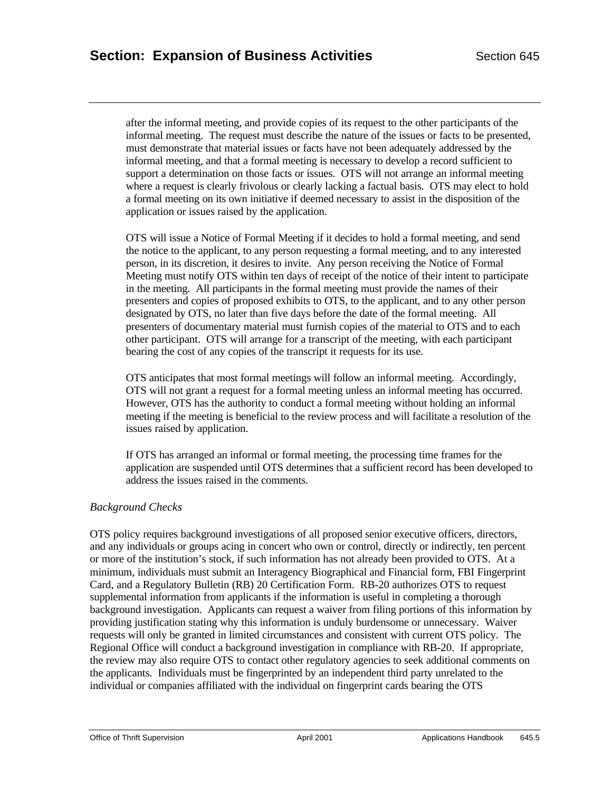after the informal meeting, and provide copies of its request to the other participants of the informal meeting. The request must describe the nature of the issues or facts to be presented, must demonstrate that material issues or facts have not been adequately addressed by the informal meeting, and that a formal meeting is necessary to develop a record sufficient to support a determination on those facts or issues. OTS will not arrange an informal meeting where a request is clearly frivolous or clearly lacking a factual basis. OTS may elect to hold a formal meeting on its own initiative if deemed necessary to assist in the disposition of the application or issues raised by the application.

OTS will issue a Notice of Formal Meeting if it decides to hold a formal meeting, and send the notice to the applicant, to any person requesting a formal meeting, and to any interested person, in its discretion, it desires to invite. Any person receiving the Notice of Formal Meeting must notify OTS within ten days of receipt of the notice of their intent to participate in the meeting. All participants in the formal meeting must provide the names of their presenters and copies of proposed exhibits to OTS, to the applicant, and to any other person designated by OTS, no later than five days before the date of the formal meeting. All presenters of documentary material must furnish copies of the material to OTS and to each other participant. OTS will arrange for a transcript of the meeting, with each participant bearing the cost of any copies of the transcript it requests for its use.

OTS anticipates that most formal meetings will follow an informal meeting. Accordingly, OTS will not grant a request for a formal meeting unless an informal meeting has occurred. However, OTS has the authority to conduct a formal meeting without holding an informal meeting if the meeting is beneficial to the review process and will facilitate a resolution of the issues raised by application.

If OTS has arranged an informal or formal meeting, the processing time frames for the application are suspended until OTS determines that a sufficient record has been developed to address the issues raised in the comments.

## *Background Checks*

OTS policy requires background investigations of all proposed senior executive officers, directors, and any individuals or groups acing in concert who own or control, directly or indirectly, ten percent or more of the institution's stock, if such information has not already been provided to OTS. At a minimum, individuals must submit an Interagency Biographical and Financial form, FBI Fingerprint Card, and a Regulatory Bulletin (RB) 20 Certification Form. RB-20 authorizes OTS to request supplemental information from applicants if the information is useful in completing a thorough background investigation. Applicants can request a waiver from filing portions of this information by providing justification stating why this information is unduly burdensome or unnecessary. Waiver requests will only be granted in limited circumstances and consistent with current OTS policy. The Regional Office will conduct a background investigation in compliance with RB-20. If appropriate, the review may also require OTS to contact other regulatory agencies to seek additional comments on the applicants. Individuals must be fingerprinted by an independent third party unrelated to the individual or companies affiliated with the individual on fingerprint cards bearing the OTS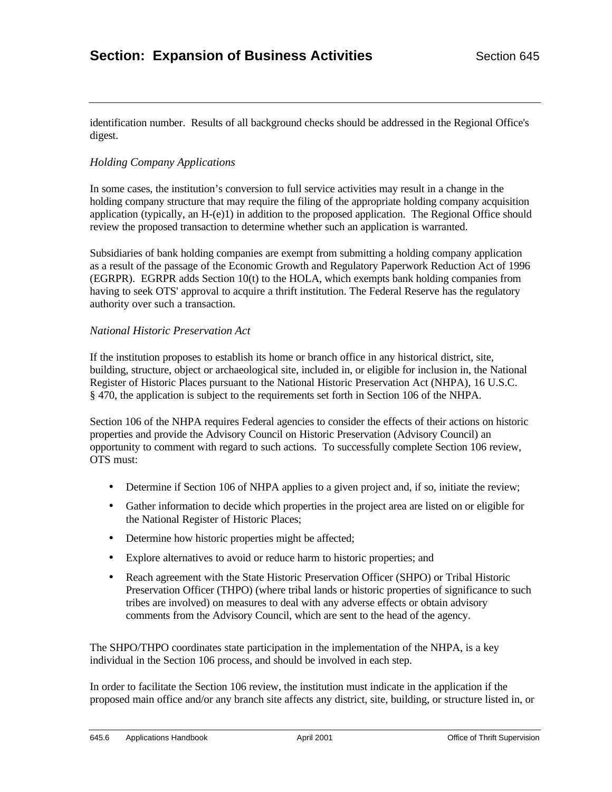identification number. Results of all background checks should be addressed in the Regional Office's digest.

## *Holding Company Applications*

In some cases, the institution's conversion to full service activities may result in a change in the holding company structure that may require the filing of the appropriate holding company acquisition application (typically, an H-(e)1) in addition to the proposed application. The Regional Office should review the proposed transaction to determine whether such an application is warranted.

Subsidiaries of bank holding companies are exempt from submitting a holding company application as a result of the passage of the Economic Growth and Regulatory Paperwork Reduction Act of 1996 (EGRPR). EGRPR adds Section 10(t) to the HOLA, which exempts bank holding companies from having to seek OTS' approval to acquire a thrift institution. The Federal Reserve has the regulatory authority over such a transaction.

#### *National Historic Preservation Act*

If the institution proposes to establish its home or branch office in any historical district, site, building, structure, object or archaeological site, included in, or eligible for inclusion in, the National Register of Historic Places pursuant to the National Historic Preservation Act (NHPA), 16 U.S.C. § 470, the application is subject to the requirements set forth in Section 106 of the NHPA.

Section 106 of the NHPA requires Federal agencies to consider the effects of their actions on historic properties and provide the Advisory Council on Historic Preservation (Advisory Council) an opportunity to comment with regard to such actions. To successfully complete Section 106 review, OTS must:

- Determine if Section 106 of NHPA applies to a given project and, if so, initiate the review;
- Gather information to decide which properties in the project area are listed on or eligible for the National Register of Historic Places;
- Determine how historic properties might be affected;
- Explore alternatives to avoid or reduce harm to historic properties; and
- Reach agreement with the State Historic Preservation Officer (SHPO) or Tribal Historic Preservation Officer (THPO) (where tribal lands or historic properties of significance to such tribes are involved) on measures to deal with any adverse effects or obtain advisory comments from the Advisory Council, which are sent to the head of the agency.

The SHPO/THPO coordinates state participation in the implementation of the NHPA, is a key individual in the Section 106 process, and should be involved in each step.

In order to facilitate the Section 106 review, the institution must indicate in the application if the proposed main office and/or any branch site affects any district, site, building, or structure listed in, or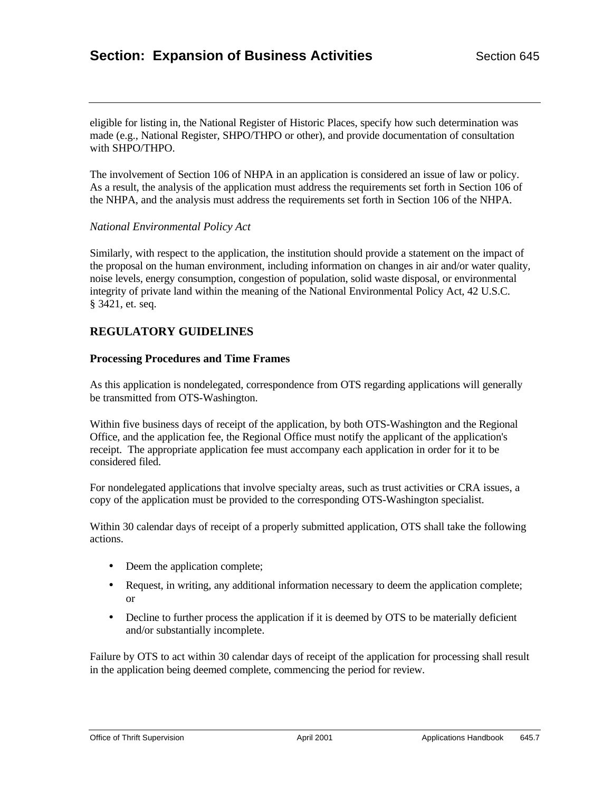eligible for listing in, the National Register of Historic Places, specify how such determination was made (e.g., National Register, SHPO/THPO or other), and provide documentation of consultation with SHPO/THPO.

The involvement of Section 106 of NHPA in an application is considered an issue of law or policy. As a result, the analysis of the application must address the requirements set forth in Section 106 of the NHPA, and the analysis must address the requirements set forth in Section 106 of the NHPA.

#### *National Environmental Policy Act*

Similarly, with respect to the application, the institution should provide a statement on the impact of the proposal on the human environment, including information on changes in air and/or water quality, noise levels, energy consumption, congestion of population, solid waste disposal, or environmental integrity of private land within the meaning of the National Environmental Policy Act, 42 U.S.C. § 3421, et. seq.

## **REGULATORY GUIDELINES**

#### **Processing Procedures and Time Frames**

As this application is nondelegated, correspondence from OTS regarding applications will generally be transmitted from OTS-Washington.

Within five business days of receipt of the application, by both OTS-Washington and the Regional Office, and the application fee, the Regional Office must notify the applicant of the application's receipt. The appropriate application fee must accompany each application in order for it to be considered filed.

For nondelegated applications that involve specialty areas, such as trust activities or CRA issues, a copy of the application must be provided to the corresponding OTS-Washington specialist.

Within 30 calendar days of receipt of a properly submitted application, OTS shall take the following actions.

- Deem the application complete;
- Request, in writing, any additional information necessary to deem the application complete; or
- Decline to further process the application if it is deemed by OTS to be materially deficient and/or substantially incomplete.

Failure by OTS to act within 30 calendar days of receipt of the application for processing shall result in the application being deemed complete, commencing the period for review.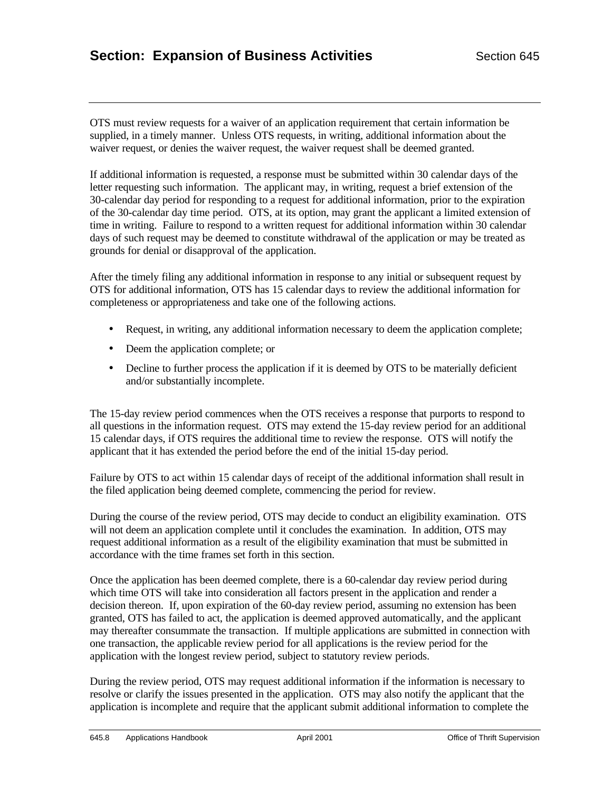OTS must review requests for a waiver of an application requirement that certain information be supplied, in a timely manner. Unless OTS requests, in writing, additional information about the waiver request, or denies the waiver request, the waiver request shall be deemed granted.

If additional information is requested, a response must be submitted within 30 calendar days of the letter requesting such information. The applicant may, in writing, request a brief extension of the 30-calendar day period for responding to a request for additional information, prior to the expiration of the 30-calendar day time period. OTS, at its option, may grant the applicant a limited extension of time in writing. Failure to respond to a written request for additional information within 30 calendar days of such request may be deemed to constitute withdrawal of the application or may be treated as grounds for denial or disapproval of the application.

After the timely filing any additional information in response to any initial or subsequent request by OTS for additional information, OTS has 15 calendar days to review the additional information for completeness or appropriateness and take one of the following actions.

- Request, in writing, any additional information necessary to deem the application complete;
- Deem the application complete; or
- Decline to further process the application if it is deemed by OTS to be materially deficient and/or substantially incomplete.

The 15-day review period commences when the OTS receives a response that purports to respond to all questions in the information request. OTS may extend the 15-day review period for an additional 15 calendar days, if OTS requires the additional time to review the response. OTS will notify the applicant that it has extended the period before the end of the initial 15-day period.

Failure by OTS to act within 15 calendar days of receipt of the additional information shall result in the filed application being deemed complete, commencing the period for review.

During the course of the review period, OTS may decide to conduct an eligibility examination. OTS will not deem an application complete until it concludes the examination. In addition, OTS may request additional information as a result of the eligibility examination that must be submitted in accordance with the time frames set forth in this section.

Once the application has been deemed complete, there is a 60-calendar day review period during which time OTS will take into consideration all factors present in the application and render a decision thereon. If, upon expiration of the 60-day review period, assuming no extension has been granted, OTS has failed to act, the application is deemed approved automatically, and the applicant may thereafter consummate the transaction. If multiple applications are submitted in connection with one transaction, the applicable review period for all applications is the review period for the application with the longest review period, subject to statutory review periods.

During the review period, OTS may request additional information if the information is necessary to resolve or clarify the issues presented in the application. OTS may also notify the applicant that the application is incomplete and require that the applicant submit additional information to complete the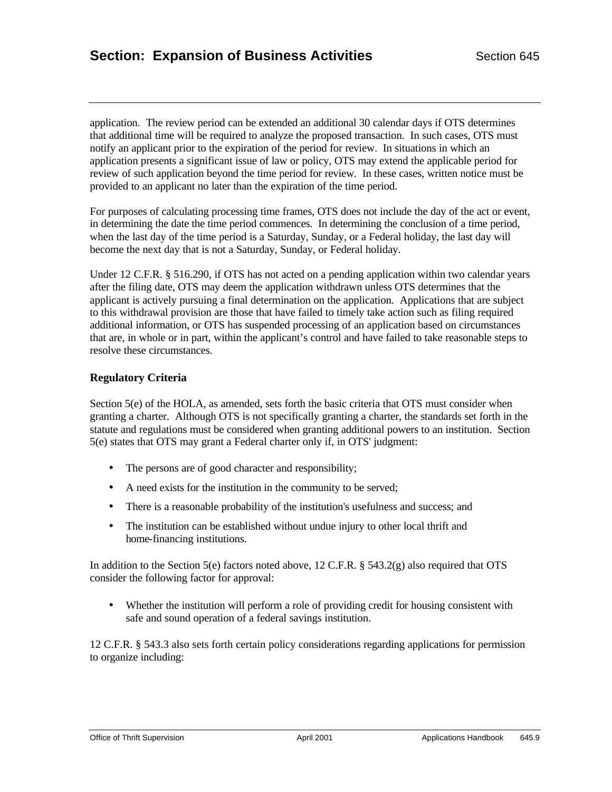application. The review period can be extended an additional 30 calendar days if OTS determines that additional time will be required to analyze the proposed transaction. In such cases, OTS must notify an applicant prior to the expiration of the period for review. In situations in which an application presents a significant issue of law or policy, OTS may extend the applicable period for review of such application beyond the time period for review. In these cases, written notice must be provided to an applicant no later than the expiration of the time period.

For purposes of calculating processing time frames, OTS does not include the day of the act or event, in determining the date the time period commences. In determining the conclusion of a time period, when the last day of the time period is a Saturday, Sunday, or a Federal holiday, the last day will become the next day that is not a Saturday, Sunday, or Federal holiday.

Under 12 C.F.R. § 516.290, if OTS has not acted on a pending application within two calendar years after the filing date, OTS may deem the application withdrawn unless OTS determines that the applicant is actively pursuing a final determination on the application. Applications that are subject to this withdrawal provision are those that have failed to timely take action such as filing required additional information, or OTS has suspended processing of an application based on circumstances that are, in whole or in part, within the applicant's control and have failed to take reasonable steps to resolve these circumstances.

## **Regulatory Criteria**

Section 5(e) of the HOLA, as amended, sets forth the basic criteria that OTS must consider when granting a charter. Although OTS is not specifically granting a charter, the standards set forth in the statute and regulations must be considered when granting additional powers to an institution. Section 5(e) states that OTS may grant a Federal charter only if, in OTS' judgment:

- The persons are of good character and responsibility;
- A need exists for the institution in the community to be served;
- There is a reasonable probability of the institution's usefulness and success; and
- The institution can be established without undue injury to other local thrift and home-financing institutions.

In addition to the Section 5(e) factors noted above, 12 C.F.R. § 543.2(g) also required that OTS consider the following factor for approval:

• Whether the institution will perform a role of providing credit for housing consistent with safe and sound operation of a federal savings institution.

12 C.F.R. § 543.3 also sets forth certain policy considerations regarding applications for permission to organize including: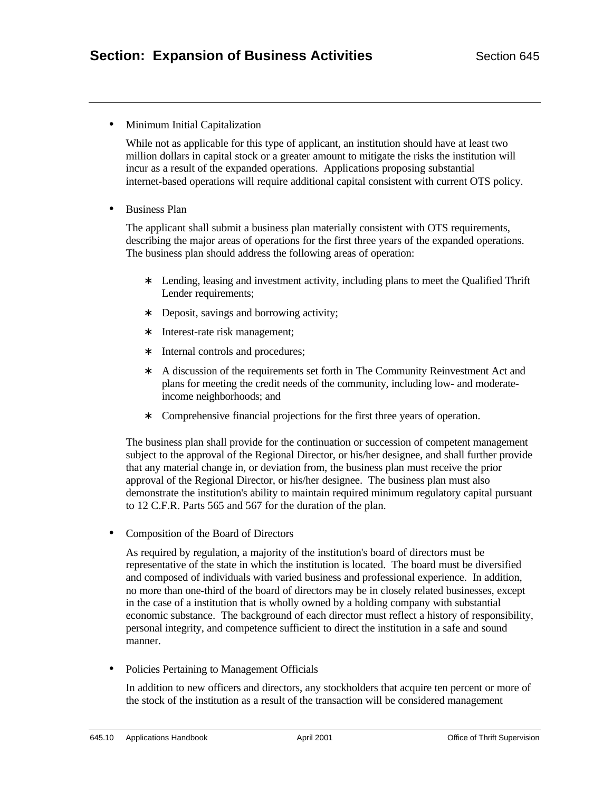• Minimum Initial Capitalization

While not as applicable for this type of applicant, an institution should have at least two million dollars in capital stock or a greater amount to mitigate the risks the institution will incur as a result of the expanded operations. Applications proposing substantial internet-based operations will require additional capital consistent with current OTS policy.

• Business Plan

The applicant shall submit a business plan materially consistent with OTS requirements, describing the major areas of operations for the first three years of the expanded operations. The business plan should address the following areas of operation:

- ∗ Lending, leasing and investment activity, including plans to meet the Qualified Thrift Lender requirements;
- ∗ Deposit, savings and borrowing activity;
- ∗ Interest-rate risk management;
- ∗ Internal controls and procedures;
- ∗ A discussion of the requirements set forth in The Community Reinvestment Act and plans for meeting the credit needs of the community, including low- and moderateincome neighborhoods; and
- ∗ Comprehensive financial projections for the first three years of operation.

The business plan shall provide for the continuation or succession of competent management subject to the approval of the Regional Director, or his/her designee, and shall further provide that any material change in, or deviation from, the business plan must receive the prior approval of the Regional Director, or his/her designee. The business plan must also demonstrate the institution's ability to maintain required minimum regulatory capital pursuant to 12 C.F.R. Parts 565 and 567 for the duration of the plan.

• Composition of the Board of Directors

As required by regulation, a majority of the institution's board of directors must be representative of the state in which the institution is located. The board must be diversified and composed of individuals with varied business and professional experience. In addition, no more than one-third of the board of directors may be in closely related businesses, except in the case of a institution that is wholly owned by a holding company with substantial economic substance. The background of each director must reflect a history of responsibility, personal integrity, and competence sufficient to direct the institution in a safe and sound manner.

• Policies Pertaining to Management Officials

In addition to new officers and directors, any stockholders that acquire ten percent or more of the stock of the institution as a result of the transaction will be considered management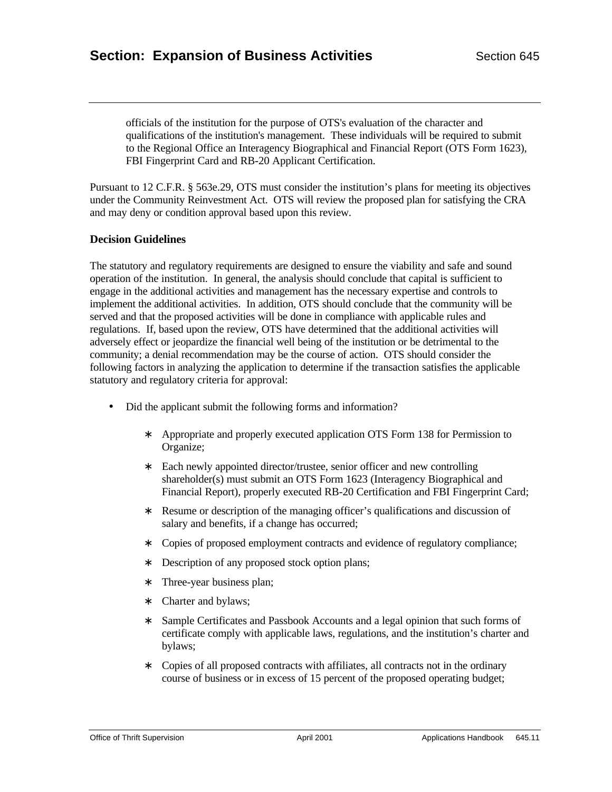officials of the institution for the purpose of OTS's evaluation of the character and qualifications of the institution's management. These individuals will be required to submit to the Regional Office an Interagency Biographical and Financial Report (OTS Form 1623), FBI Fingerprint Card and RB-20 Applicant Certification.

Pursuant to 12 C.F.R. § 563e.29, OTS must consider the institution's plans for meeting its objectives under the Community Reinvestment Act. OTS will review the proposed plan for satisfying the CRA and may deny or condition approval based upon this review.

## **Decision Guidelines**

The statutory and regulatory requirements are designed to ensure the viability and safe and sound operation of the institution. In general, the analysis should conclude that capital is sufficient to engage in the additional activities and management has the necessary expertise and controls to implement the additional activities. In addition, OTS should conclude that the community will be served and that the proposed activities will be done in compliance with applicable rules and regulations. If, based upon the review, OTS have determined that the additional activities will adversely effect or jeopardize the financial well being of the institution or be detrimental to the community; a denial recommendation may be the course of action. OTS should consider the following factors in analyzing the application to determine if the transaction satisfies the applicable statutory and regulatory criteria for approval:

- Did the applicant submit the following forms and information?
	- ∗ Appropriate and properly executed application OTS Form 138 for Permission to Organize;
	- ∗ Each newly appointed director/trustee, senior officer and new controlling shareholder(s) must submit an OTS Form 1623 (Interagency Biographical and Financial Report), properly executed RB-20 Certification and FBI Fingerprint Card;
	- ∗ Resume or description of the managing officer's qualifications and discussion of salary and benefits, if a change has occurred;
	- ∗ Copies of proposed employment contracts and evidence of regulatory compliance;
	- ∗ Description of any proposed stock option plans;
	- ∗ Three-year business plan;
	- ∗ Charter and bylaws;
	- ∗ Sample Certificates and Passbook Accounts and a legal opinion that such forms of certificate comply with applicable laws, regulations, and the institution's charter and bylaws;
	- ∗ Copies of all proposed contracts with affiliates, all contracts not in the ordinary course of business or in excess of 15 percent of the proposed operating budget;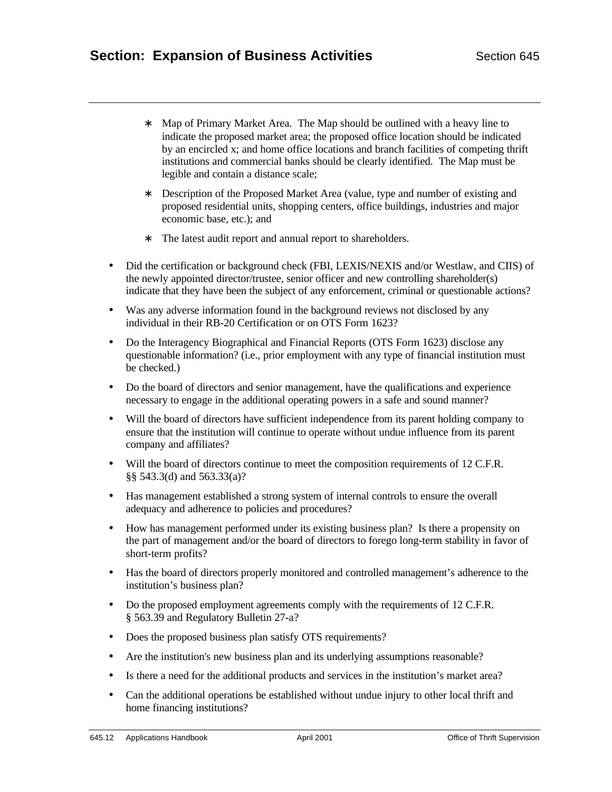- ∗ Map of Primary Market Area. The Map should be outlined with a heavy line to indicate the proposed market area; the proposed office location should be indicated by an encircled x; and home office locations and branch facilities of competing thrift institutions and commercial banks should be clearly identified. The Map must be legible and contain a distance scale;
- ∗ Description of the Proposed Market Area (value, type and number of existing and proposed residential units, shopping centers, office buildings, industries and major economic base, etc.); and
- ∗ The latest audit report and annual report to shareholders.
- Did the certification or background check (FBI, LEXIS/NEXIS and/or Westlaw, and CIIS) of the newly appointed director/trustee, senior officer and new controlling shareholder(s) indicate that they have been the subject of any enforcement, criminal or questionable actions?
- Was any adverse information found in the background reviews not disclosed by any individual in their RB-20 Certification or on OTS Form 1623?
- Do the Interagency Biographical and Financial Reports (OTS Form 1623) disclose any questionable information? (i.e., prior employment with any type of financial institution must be checked.)
- Do the board of directors and senior management, have the qualifications and experience necessary to engage in the additional operating powers in a safe and sound manner?
- Will the board of directors have sufficient independence from its parent holding company to ensure that the institution will continue to operate without undue influence from its parent company and affiliates?
- Will the board of directors continue to meet the composition requirements of 12 C.F.R. §§ 543.3(d) and 563.33(a)?
- Has management established a strong system of internal controls to ensure the overall adequacy and adherence to policies and procedures?
- How has management performed under its existing business plan? Is there a propensity on the part of management and/or the board of directors to forego long-term stability in favor of short-term profits?
- Has the board of directors properly monitored and controlled management's adherence to the institution's business plan?
- Do the proposed employment agreements comply with the requirements of 12 C.F.R. § 563.39 and Regulatory Bulletin 27-a?
- Does the proposed business plan satisfy OTS requirements?
- Are the institution's new business plan and its underlying assumptions reasonable?
- Is there a need for the additional products and services in the institution's market area?
- Can the additional operations be established without undue injury to other local thrift and home financing institutions?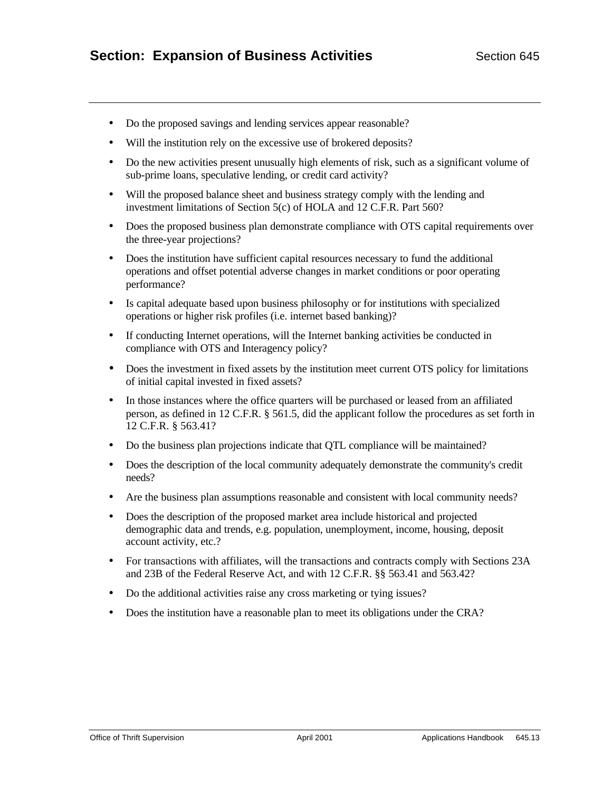- Do the proposed savings and lending services appear reasonable?
- Will the institution rely on the excessive use of brokered deposits?
- Do the new activities present unusually high elements of risk, such as a significant volume of sub-prime loans, speculative lending, or credit card activity?
- Will the proposed balance sheet and business strategy comply with the lending and investment limitations of Section 5(c) of HOLA and 12 C.F.R. Part 560?
- Does the proposed business plan demonstrate compliance with OTS capital requirements over the three-year projections?
- Does the institution have sufficient capital resources necessary to fund the additional operations and offset potential adverse changes in market conditions or poor operating performance?
- Is capital adequate based upon business philosophy or for institutions with specialized operations or higher risk profiles (i.e. internet based banking)?
- If conducting Internet operations, will the Internet banking activities be conducted in compliance with OTS and Interagency policy?
- Does the investment in fixed assets by the institution meet current OTS policy for limitations of initial capital invested in fixed assets?
- In those instances where the office quarters will be purchased or leased from an affiliated person, as defined in 12 C.F.R. § 561.5, did the applicant follow the procedures as set forth in 12 C.F.R. § 563.41?
- Do the business plan projections indicate that QTL compliance will be maintained?
- Does the description of the local community adequately demonstrate the community's credit needs?
- Are the business plan assumptions reasonable and consistent with local community needs?
- Does the description of the proposed market area include historical and projected demographic data and trends, e.g. population, unemployment, income, housing, deposit account activity, etc.?
- For transactions with affiliates, will the transactions and contracts comply with Sections 23A and 23B of the Federal Reserve Act, and with 12 C.F.R. §§ 563.41 and 563.42?
- Do the additional activities raise any cross marketing or tying issues?
- Does the institution have a reasonable plan to meet its obligations under the CRA?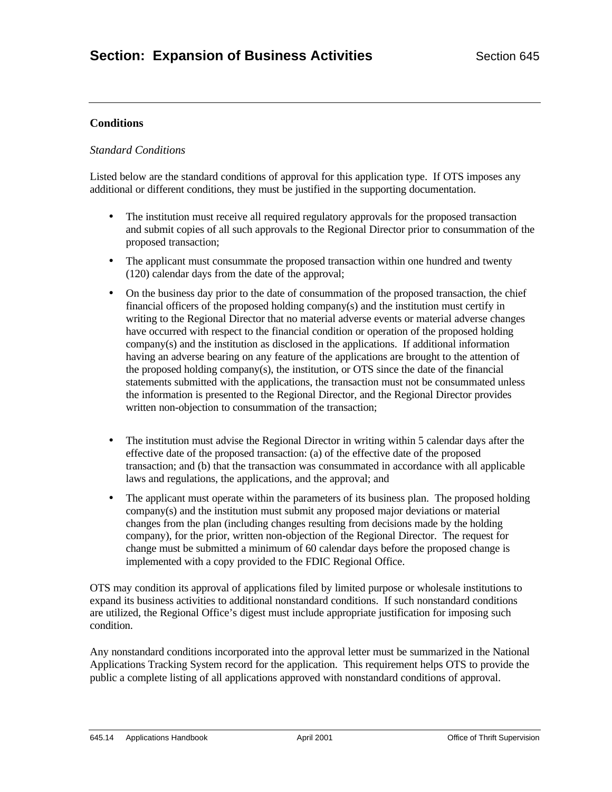## **Conditions**

### *Standard Conditions*

Listed below are the standard conditions of approval for this application type. If OTS imposes any additional or different conditions, they must be justified in the supporting documentation.

- The institution must receive all required regulatory approvals for the proposed transaction and submit copies of all such approvals to the Regional Director prior to consummation of the proposed transaction;
- The applicant must consummate the proposed transaction within one hundred and twenty (120) calendar days from the date of the approval;
- On the business day prior to the date of consummation of the proposed transaction, the chief financial officers of the proposed holding company(s) and the institution must certify in writing to the Regional Director that no material adverse events or material adverse changes have occurred with respect to the financial condition or operation of the proposed holding company(s) and the institution as disclosed in the applications. If additional information having an adverse bearing on any feature of the applications are brought to the attention of the proposed holding company(s), the institution, or OTS since the date of the financial statements submitted with the applications, the transaction must not be consummated unless the information is presented to the Regional Director, and the Regional Director provides written non-objection to consummation of the transaction;
- The institution must advise the Regional Director in writing within 5 calendar days after the effective date of the proposed transaction: (a) of the effective date of the proposed transaction; and (b) that the transaction was consummated in accordance with all applicable laws and regulations, the applications, and the approval; and
- The applicant must operate within the parameters of its business plan. The proposed holding company(s) and the institution must submit any proposed major deviations or material changes from the plan (including changes resulting from decisions made by the holding company), for the prior, written non-objection of the Regional Director. The request for change must be submitted a minimum of 60 calendar days before the proposed change is implemented with a copy provided to the FDIC Regional Office.

OTS may condition its approval of applications filed by limited purpose or wholesale institutions to expand its business activities to additional nonstandard conditions. If such nonstandard conditions are utilized, the Regional Office's digest must include appropriate justification for imposing such condition.

Any nonstandard conditions incorporated into the approval letter must be summarized in the National Applications Tracking System record for the application. This requirement helps OTS to provide the public a complete listing of all applications approved with nonstandard conditions of approval.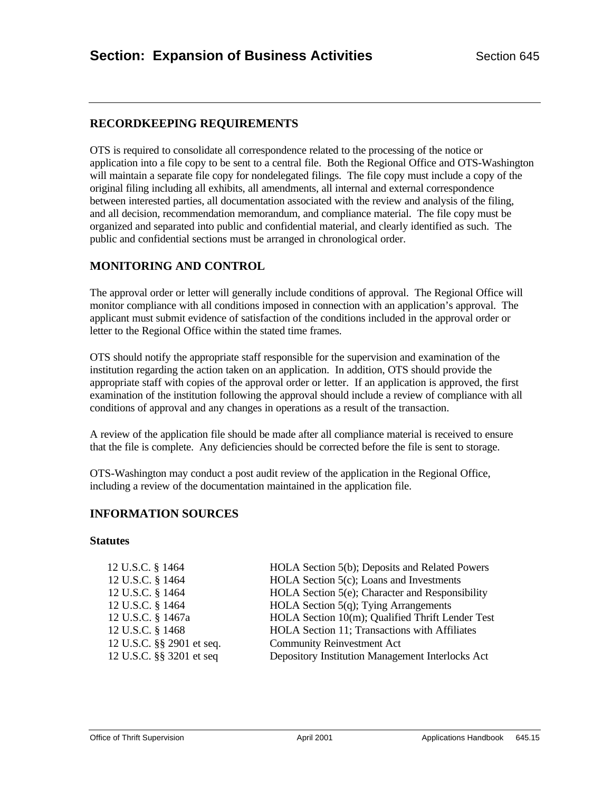## **RECORDKEEPING REQUIREMENTS**

OTS is required to consolidate all correspondence related to the processing of the notice or application into a file copy to be sent to a central file. Both the Regional Office and OTS-Washington will maintain a separate file copy for nondelegated filings. The file copy must include a copy of the original filing including all exhibits, all amendments, all internal and external correspondence between interested parties, all documentation associated with the review and analysis of the filing, and all decision, recommendation memorandum, and compliance material. The file copy must be organized and separated into public and confidential material, and clearly identified as such. The public and confidential sections must be arranged in chronological order.

## **MONITORING AND CONTROL**

The approval order or letter will generally include conditions of approval. The Regional Office will monitor compliance with all conditions imposed in connection with an application's approval. The applicant must submit evidence of satisfaction of the conditions included in the approval order or letter to the Regional Office within the stated time frames.

OTS should notify the appropriate staff responsible for the supervision and examination of the institution regarding the action taken on an application. In addition, OTS should provide the appropriate staff with copies of the approval order or letter. If an application is approved, the first examination of the institution following the approval should include a review of compliance with all conditions of approval and any changes in operations as a result of the transaction.

A review of the application file should be made after all compliance material is received to ensure that the file is complete. Any deficiencies should be corrected before the file is sent to storage.

OTS-Washington may conduct a post audit review of the application in the Regional Office, including a review of the documentation maintained in the application file.

## **INFORMATION SOURCES**

#### **Statutes**

| 12 U.S.C. § 1464          | HOLA Section 5(b); Deposits and Related Powers   |
|---------------------------|--------------------------------------------------|
| 12 U.S.C. § 1464          | HOLA Section 5(c); Loans and Investments         |
| 12 U.S.C. § 1464          | HOLA Section 5(e); Character and Responsibility  |
| 12 U.S.C. § 1464          | HOLA Section $5(q)$ ; Tying Arrangements         |
| 12 U.S.C. § 1467a         | HOLA Section 10(m); Qualified Thrift Lender Test |
| 12 U.S.C. § 1468          | HOLA Section 11; Transactions with Affiliates    |
| 12 U.S.C. §§ 2901 et seq. | <b>Community Reinvestment Act</b>                |
| 12 U.S.C. §§ 3201 et seq  | Depository Institution Management Interlocks Act |
|                           |                                                  |